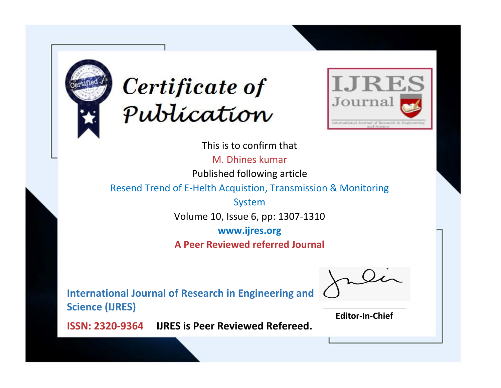



This is to confirm that M. Dhines kumar Published following article Resend Trend of E-Helth Acquistion, Transmission & Monitoring System Volume 10, Issue 6, pp: 1307-1310 **www.ijres.org A Peer Reviewed referred Journal**

**International Journal of Research in Engineering and Science (IJRES)**

\_\_\_\_\_\_\_\_\_\_\_\_\_\_\_\_\_\_\_\_\_\_\_\_ **Editor-In-Chief**

**Journal.**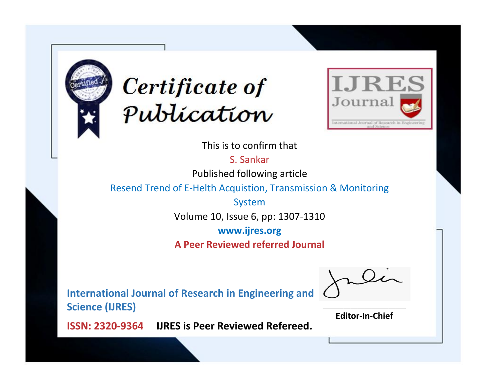



This is to confirm that

S. Sankar

Published following article

Resend Trend of E-Helth Acquistion, Transmission & Monitoring

System Volume 10, Issue 6, pp: 1307-1310

**www.ijres.org**

**A Peer Reviewed referred Journal**

**International Journal of Research in Engineering and Science (IJRES)**

\_\_\_\_\_\_\_\_\_\_\_\_\_\_\_\_\_\_\_\_\_\_\_\_ **Editor-In-Chief**

**Journal.**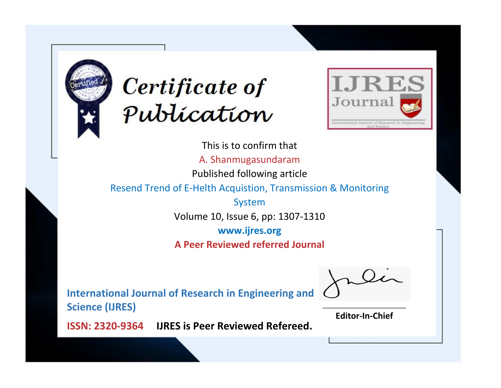



This is to confirm that A. Shanmugasundaram Published following article Resend Trend of E-Helth Acquistion, Transmission & Monitoring System Volume 10, Issue 6, pp: 1307-1310 **www.ijres.org A Peer Reviewed referred Journal**

**International Journal of Research in Engineering and Science (IJRES)**

\_\_\_\_\_\_\_\_\_\_\_\_\_\_\_\_\_\_\_\_\_\_\_\_ **Editor-In-Chief**

**Journal.**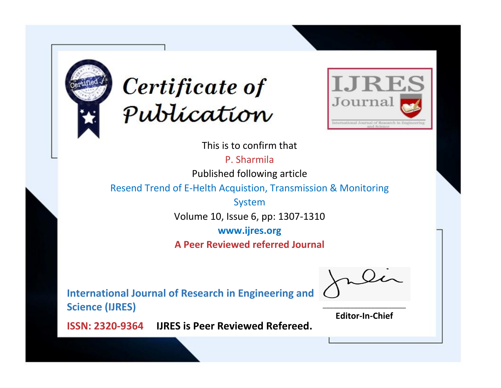



This is to confirm that

P. Sharmila

Published following article

Resend Trend of E-Helth Acquistion, Transmission & Monitoring

System Volume 10, Issue 6, pp: 1307-1310

**www.ijres.org**

**A Peer Reviewed referred Journal**

**International Journal of Research in Engineering and Science (IJRES)**

\_\_\_\_\_\_\_\_\_\_\_\_\_\_\_\_\_\_\_\_\_\_\_\_ **Editor-In-Chief**

**Journal.**